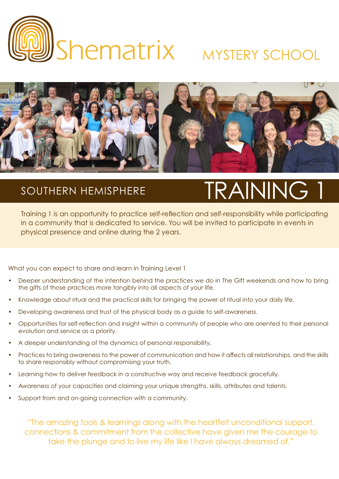

## MYSTERY SCHOOL



# SOUTHERN HEMISPHERE **TRAINING** 1

Training 1 is an opportunity to practice self-reflection and self-responsibility while participating in a community that is dedicated to service. You will be invited to participate in events in physical presence and online during the 2 years.

What you can expect to share and learn in Training Level 1

- Deeper understanding of the intention behind the practices we do in The Gift weekends and how to bring the gifts of those practices more tangibly into all aspects of your life.
- Knowledge about ritual and the practical skills for bringing the power of ritual into your daily life.
- Developing awareness and trust of the physical body as a guide to self-awareness.
- Opportunities for self-reflection and insight within a community of people who are oriented to their personal evolution and service as a priority.
- A deeper understanding of the dynamics of personal responsibility.
- Practices to bring awareness to the power of communication and how it affects all relationships, and the skills to share responsibly without compromising your truth.
- Learning how to deliver feedback in a constructive way and receive feedback gracefully.
- Awareness of your capacities and claiming your unique strengths, skills, attributes and talents.
- Support from and on-going connection with a community.

"The amazing tools & learnings along with the heartfelt unconditional support, connections & commitment from the collective have given me the courage to take the plunge and to live my life like I have always dreamed of."